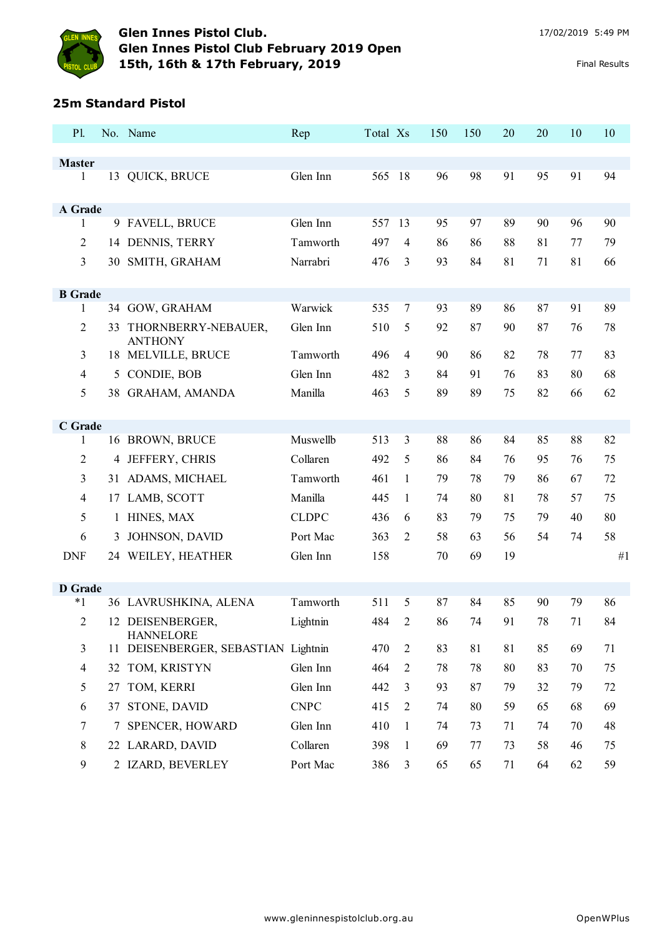

# **25m Standard Pistol**

| <b>Master</b><br>QUICK, BRUCE<br>Glen Inn<br>565<br>98<br>91<br>95<br>91<br>94<br>1<br>18<br>96<br>13<br>A Grade<br>9 FAVELL, BRUCE<br>Glen Inn<br>557<br>95<br>97<br>89<br>90<br>96<br>90<br>13<br>1<br>$\overline{2}$<br>DENNIS, TERRY<br>79<br>Tamworth<br>497<br>86<br>88<br>81<br>77<br>$\overline{4}$<br>86<br>14<br>3<br>SMITH, GRAHAM<br>Narrabri<br>3<br>93<br>81<br>81<br>476<br>84<br>71<br>66<br>30<br><b>B</b> Grade<br>89<br>Warwick<br>535<br>$\overline{7}$<br>93<br>89<br>86<br>87<br>91<br>34 GOW, GRAHAM<br>1<br>$\overline{2}$<br>5<br>78<br>THORNBERRY-NEBAUER,<br>Glen Inn<br>510<br>92<br>87<br>90<br>87<br>76<br>33<br><b>ANTHONY</b><br>$\overline{3}$<br>18 MELVILLE, BRUCE<br>82<br>83<br>Tamworth<br>496<br>$\overline{4}$<br>90<br>86<br>78<br>77<br>CONDIE, BOB<br>Glen Inn<br>482<br>68<br>$\overline{4}$<br>3<br>91<br>76<br>83<br>80<br>5<br>84<br>5<br>38 GRAHAM, AMANDA<br>Manilla<br>463<br>5<br>75<br>82<br>62<br>89<br>89<br>66<br>C Grade<br>16 BROWN, BRUCE<br>Muswellb<br>513<br>3<br>88<br>82<br>88<br>86<br>84<br>85<br>1<br>Collaren<br>$\overline{2}$<br>JEFFERY, CHRIS<br>492<br>5<br>75<br>86<br>84<br>76<br>95<br>76<br>4<br>3<br>31 ADAMS, MICHAEL<br>Tamworth<br>461<br>1<br>79<br>78<br>79<br>86<br>67<br>72<br>LAMB, SCOTT<br>Manilla<br>57<br>4<br>445<br>1<br>74<br>80<br>81<br>78<br>75<br>17<br>5<br>HINES, MAX<br><b>CLDPC</b><br>80<br>6<br>83<br>79<br>79<br>40<br>436<br>75<br>1<br>58<br>6<br>JOHNSON, DAVID<br>Port Mac<br>363<br>58<br>2<br>63<br>56<br>54<br>74<br>3<br>Glen Inn<br>158<br>19<br><b>DNF</b><br>24 WEILEY, HEATHER<br>70<br>69<br>#1<br><b>D</b> Grade<br>86<br>$*1$<br>Tamworth<br>511<br>5<br>87<br>85<br>79<br>36 LAVRUSHKINA, ALENA<br>84<br>90<br>12 DEISENBERGER,<br>78<br>84<br>$\overline{2}$<br>484<br>$\overline{c}$<br>86<br>74<br>91<br>71<br>Lightnin<br><b>HANNELORE</b><br>11 DEISENBERGER, SEBASTIAN Lightnin<br>470<br>83<br>81<br>85<br>69<br>71<br>3<br>$\overline{2}$<br>81<br>32 TOM, KRISTYN<br>Glen Inn<br>78<br>78<br>83<br>75<br>$\overline{4}$<br>464<br>$\overline{2}$<br>80<br>70<br>TOM, KERRI<br>5<br>Glen Inn<br>442<br>93<br>87<br>79<br>79<br>72<br>3<br>32<br>27<br><b>CNPC</b><br>STONE, DAVID<br>415<br>68<br>69<br>6<br>$\overline{2}$<br>74<br>80<br>59<br>65<br>37<br>7<br><b>SPENCER, HOWARD</b><br>Glen Inn<br>410<br>1<br>74<br>73<br>70<br>48<br>71<br>74 | P1. | No. Name | Rep | Total Xs | 150 | 150 | 20 | 20 | 10 | 10 |
|-------------------------------------------------------------------------------------------------------------------------------------------------------------------------------------------------------------------------------------------------------------------------------------------------------------------------------------------------------------------------------------------------------------------------------------------------------------------------------------------------------------------------------------------------------------------------------------------------------------------------------------------------------------------------------------------------------------------------------------------------------------------------------------------------------------------------------------------------------------------------------------------------------------------------------------------------------------------------------------------------------------------------------------------------------------------------------------------------------------------------------------------------------------------------------------------------------------------------------------------------------------------------------------------------------------------------------------------------------------------------------------------------------------------------------------------------------------------------------------------------------------------------------------------------------------------------------------------------------------------------------------------------------------------------------------------------------------------------------------------------------------------------------------------------------------------------------------------------------------------------------------------------------------------------------------------------------------------------------------------------------------------------------------------------------------------------------------------------------------------------------------------------------------------------------------------------------------------------------------------------------------------------------------------------------------------------------------------------------------------------------------|-----|----------|-----|----------|-----|-----|----|----|----|----|
|                                                                                                                                                                                                                                                                                                                                                                                                                                                                                                                                                                                                                                                                                                                                                                                                                                                                                                                                                                                                                                                                                                                                                                                                                                                                                                                                                                                                                                                                                                                                                                                                                                                                                                                                                                                                                                                                                                                                                                                                                                                                                                                                                                                                                                                                                                                                                                                     |     |          |     |          |     |     |    |    |    |    |
|                                                                                                                                                                                                                                                                                                                                                                                                                                                                                                                                                                                                                                                                                                                                                                                                                                                                                                                                                                                                                                                                                                                                                                                                                                                                                                                                                                                                                                                                                                                                                                                                                                                                                                                                                                                                                                                                                                                                                                                                                                                                                                                                                                                                                                                                                                                                                                                     |     |          |     |          |     |     |    |    |    |    |
|                                                                                                                                                                                                                                                                                                                                                                                                                                                                                                                                                                                                                                                                                                                                                                                                                                                                                                                                                                                                                                                                                                                                                                                                                                                                                                                                                                                                                                                                                                                                                                                                                                                                                                                                                                                                                                                                                                                                                                                                                                                                                                                                                                                                                                                                                                                                                                                     |     |          |     |          |     |     |    |    |    |    |
|                                                                                                                                                                                                                                                                                                                                                                                                                                                                                                                                                                                                                                                                                                                                                                                                                                                                                                                                                                                                                                                                                                                                                                                                                                                                                                                                                                                                                                                                                                                                                                                                                                                                                                                                                                                                                                                                                                                                                                                                                                                                                                                                                                                                                                                                                                                                                                                     |     |          |     |          |     |     |    |    |    |    |
|                                                                                                                                                                                                                                                                                                                                                                                                                                                                                                                                                                                                                                                                                                                                                                                                                                                                                                                                                                                                                                                                                                                                                                                                                                                                                                                                                                                                                                                                                                                                                                                                                                                                                                                                                                                                                                                                                                                                                                                                                                                                                                                                                                                                                                                                                                                                                                                     |     |          |     |          |     |     |    |    |    |    |
|                                                                                                                                                                                                                                                                                                                                                                                                                                                                                                                                                                                                                                                                                                                                                                                                                                                                                                                                                                                                                                                                                                                                                                                                                                                                                                                                                                                                                                                                                                                                                                                                                                                                                                                                                                                                                                                                                                                                                                                                                                                                                                                                                                                                                                                                                                                                                                                     |     |          |     |          |     |     |    |    |    |    |
|                                                                                                                                                                                                                                                                                                                                                                                                                                                                                                                                                                                                                                                                                                                                                                                                                                                                                                                                                                                                                                                                                                                                                                                                                                                                                                                                                                                                                                                                                                                                                                                                                                                                                                                                                                                                                                                                                                                                                                                                                                                                                                                                                                                                                                                                                                                                                                                     |     |          |     |          |     |     |    |    |    |    |
|                                                                                                                                                                                                                                                                                                                                                                                                                                                                                                                                                                                                                                                                                                                                                                                                                                                                                                                                                                                                                                                                                                                                                                                                                                                                                                                                                                                                                                                                                                                                                                                                                                                                                                                                                                                                                                                                                                                                                                                                                                                                                                                                                                                                                                                                                                                                                                                     |     |          |     |          |     |     |    |    |    |    |
|                                                                                                                                                                                                                                                                                                                                                                                                                                                                                                                                                                                                                                                                                                                                                                                                                                                                                                                                                                                                                                                                                                                                                                                                                                                                                                                                                                                                                                                                                                                                                                                                                                                                                                                                                                                                                                                                                                                                                                                                                                                                                                                                                                                                                                                                                                                                                                                     |     |          |     |          |     |     |    |    |    |    |
|                                                                                                                                                                                                                                                                                                                                                                                                                                                                                                                                                                                                                                                                                                                                                                                                                                                                                                                                                                                                                                                                                                                                                                                                                                                                                                                                                                                                                                                                                                                                                                                                                                                                                                                                                                                                                                                                                                                                                                                                                                                                                                                                                                                                                                                                                                                                                                                     |     |          |     |          |     |     |    |    |    |    |
|                                                                                                                                                                                                                                                                                                                                                                                                                                                                                                                                                                                                                                                                                                                                                                                                                                                                                                                                                                                                                                                                                                                                                                                                                                                                                                                                                                                                                                                                                                                                                                                                                                                                                                                                                                                                                                                                                                                                                                                                                                                                                                                                                                                                                                                                                                                                                                                     |     |          |     |          |     |     |    |    |    |    |
|                                                                                                                                                                                                                                                                                                                                                                                                                                                                                                                                                                                                                                                                                                                                                                                                                                                                                                                                                                                                                                                                                                                                                                                                                                                                                                                                                                                                                                                                                                                                                                                                                                                                                                                                                                                                                                                                                                                                                                                                                                                                                                                                                                                                                                                                                                                                                                                     |     |          |     |          |     |     |    |    |    |    |
|                                                                                                                                                                                                                                                                                                                                                                                                                                                                                                                                                                                                                                                                                                                                                                                                                                                                                                                                                                                                                                                                                                                                                                                                                                                                                                                                                                                                                                                                                                                                                                                                                                                                                                                                                                                                                                                                                                                                                                                                                                                                                                                                                                                                                                                                                                                                                                                     |     |          |     |          |     |     |    |    |    |    |
|                                                                                                                                                                                                                                                                                                                                                                                                                                                                                                                                                                                                                                                                                                                                                                                                                                                                                                                                                                                                                                                                                                                                                                                                                                                                                                                                                                                                                                                                                                                                                                                                                                                                                                                                                                                                                                                                                                                                                                                                                                                                                                                                                                                                                                                                                                                                                                                     |     |          |     |          |     |     |    |    |    |    |
|                                                                                                                                                                                                                                                                                                                                                                                                                                                                                                                                                                                                                                                                                                                                                                                                                                                                                                                                                                                                                                                                                                                                                                                                                                                                                                                                                                                                                                                                                                                                                                                                                                                                                                                                                                                                                                                                                                                                                                                                                                                                                                                                                                                                                                                                                                                                                                                     |     |          |     |          |     |     |    |    |    |    |
|                                                                                                                                                                                                                                                                                                                                                                                                                                                                                                                                                                                                                                                                                                                                                                                                                                                                                                                                                                                                                                                                                                                                                                                                                                                                                                                                                                                                                                                                                                                                                                                                                                                                                                                                                                                                                                                                                                                                                                                                                                                                                                                                                                                                                                                                                                                                                                                     |     |          |     |          |     |     |    |    |    |    |
|                                                                                                                                                                                                                                                                                                                                                                                                                                                                                                                                                                                                                                                                                                                                                                                                                                                                                                                                                                                                                                                                                                                                                                                                                                                                                                                                                                                                                                                                                                                                                                                                                                                                                                                                                                                                                                                                                                                                                                                                                                                                                                                                                                                                                                                                                                                                                                                     |     |          |     |          |     |     |    |    |    |    |
|                                                                                                                                                                                                                                                                                                                                                                                                                                                                                                                                                                                                                                                                                                                                                                                                                                                                                                                                                                                                                                                                                                                                                                                                                                                                                                                                                                                                                                                                                                                                                                                                                                                                                                                                                                                                                                                                                                                                                                                                                                                                                                                                                                                                                                                                                                                                                                                     |     |          |     |          |     |     |    |    |    |    |
|                                                                                                                                                                                                                                                                                                                                                                                                                                                                                                                                                                                                                                                                                                                                                                                                                                                                                                                                                                                                                                                                                                                                                                                                                                                                                                                                                                                                                                                                                                                                                                                                                                                                                                                                                                                                                                                                                                                                                                                                                                                                                                                                                                                                                                                                                                                                                                                     |     |          |     |          |     |     |    |    |    |    |
|                                                                                                                                                                                                                                                                                                                                                                                                                                                                                                                                                                                                                                                                                                                                                                                                                                                                                                                                                                                                                                                                                                                                                                                                                                                                                                                                                                                                                                                                                                                                                                                                                                                                                                                                                                                                                                                                                                                                                                                                                                                                                                                                                                                                                                                                                                                                                                                     |     |          |     |          |     |     |    |    |    |    |
|                                                                                                                                                                                                                                                                                                                                                                                                                                                                                                                                                                                                                                                                                                                                                                                                                                                                                                                                                                                                                                                                                                                                                                                                                                                                                                                                                                                                                                                                                                                                                                                                                                                                                                                                                                                                                                                                                                                                                                                                                                                                                                                                                                                                                                                                                                                                                                                     |     |          |     |          |     |     |    |    |    |    |
|                                                                                                                                                                                                                                                                                                                                                                                                                                                                                                                                                                                                                                                                                                                                                                                                                                                                                                                                                                                                                                                                                                                                                                                                                                                                                                                                                                                                                                                                                                                                                                                                                                                                                                                                                                                                                                                                                                                                                                                                                                                                                                                                                                                                                                                                                                                                                                                     |     |          |     |          |     |     |    |    |    |    |
|                                                                                                                                                                                                                                                                                                                                                                                                                                                                                                                                                                                                                                                                                                                                                                                                                                                                                                                                                                                                                                                                                                                                                                                                                                                                                                                                                                                                                                                                                                                                                                                                                                                                                                                                                                                                                                                                                                                                                                                                                                                                                                                                                                                                                                                                                                                                                                                     |     |          |     |          |     |     |    |    |    |    |
|                                                                                                                                                                                                                                                                                                                                                                                                                                                                                                                                                                                                                                                                                                                                                                                                                                                                                                                                                                                                                                                                                                                                                                                                                                                                                                                                                                                                                                                                                                                                                                                                                                                                                                                                                                                                                                                                                                                                                                                                                                                                                                                                                                                                                                                                                                                                                                                     |     |          |     |          |     |     |    |    |    |    |
|                                                                                                                                                                                                                                                                                                                                                                                                                                                                                                                                                                                                                                                                                                                                                                                                                                                                                                                                                                                                                                                                                                                                                                                                                                                                                                                                                                                                                                                                                                                                                                                                                                                                                                                                                                                                                                                                                                                                                                                                                                                                                                                                                                                                                                                                                                                                                                                     |     |          |     |          |     |     |    |    |    |    |
|                                                                                                                                                                                                                                                                                                                                                                                                                                                                                                                                                                                                                                                                                                                                                                                                                                                                                                                                                                                                                                                                                                                                                                                                                                                                                                                                                                                                                                                                                                                                                                                                                                                                                                                                                                                                                                                                                                                                                                                                                                                                                                                                                                                                                                                                                                                                                                                     |     |          |     |          |     |     |    |    |    |    |
|                                                                                                                                                                                                                                                                                                                                                                                                                                                                                                                                                                                                                                                                                                                                                                                                                                                                                                                                                                                                                                                                                                                                                                                                                                                                                                                                                                                                                                                                                                                                                                                                                                                                                                                                                                                                                                                                                                                                                                                                                                                                                                                                                                                                                                                                                                                                                                                     |     |          |     |          |     |     |    |    |    |    |
|                                                                                                                                                                                                                                                                                                                                                                                                                                                                                                                                                                                                                                                                                                                                                                                                                                                                                                                                                                                                                                                                                                                                                                                                                                                                                                                                                                                                                                                                                                                                                                                                                                                                                                                                                                                                                                                                                                                                                                                                                                                                                                                                                                                                                                                                                                                                                                                     |     |          |     |          |     |     |    |    |    |    |
|                                                                                                                                                                                                                                                                                                                                                                                                                                                                                                                                                                                                                                                                                                                                                                                                                                                                                                                                                                                                                                                                                                                                                                                                                                                                                                                                                                                                                                                                                                                                                                                                                                                                                                                                                                                                                                                                                                                                                                                                                                                                                                                                                                                                                                                                                                                                                                                     |     |          |     |          |     |     |    |    |    |    |
|                                                                                                                                                                                                                                                                                                                                                                                                                                                                                                                                                                                                                                                                                                                                                                                                                                                                                                                                                                                                                                                                                                                                                                                                                                                                                                                                                                                                                                                                                                                                                                                                                                                                                                                                                                                                                                                                                                                                                                                                                                                                                                                                                                                                                                                                                                                                                                                     |     |          |     |          |     |     |    |    |    |    |
|                                                                                                                                                                                                                                                                                                                                                                                                                                                                                                                                                                                                                                                                                                                                                                                                                                                                                                                                                                                                                                                                                                                                                                                                                                                                                                                                                                                                                                                                                                                                                                                                                                                                                                                                                                                                                                                                                                                                                                                                                                                                                                                                                                                                                                                                                                                                                                                     |     |          |     |          |     |     |    |    |    |    |
| $\,8\,$<br>22 LARARD, DAVID<br>Collaren<br>398<br>69<br>58<br>$\mathbf{1}$<br>77<br>73<br>46<br>75                                                                                                                                                                                                                                                                                                                                                                                                                                                                                                                                                                                                                                                                                                                                                                                                                                                                                                                                                                                                                                                                                                                                                                                                                                                                                                                                                                                                                                                                                                                                                                                                                                                                                                                                                                                                                                                                                                                                                                                                                                                                                                                                                                                                                                                                                  |     |          |     |          |     |     |    |    |    |    |
| 9<br>2 IZARD, BEVERLEY<br>Port Mac<br>59<br>386<br>3<br>65<br>65<br>71<br>64<br>62                                                                                                                                                                                                                                                                                                                                                                                                                                                                                                                                                                                                                                                                                                                                                                                                                                                                                                                                                                                                                                                                                                                                                                                                                                                                                                                                                                                                                                                                                                                                                                                                                                                                                                                                                                                                                                                                                                                                                                                                                                                                                                                                                                                                                                                                                                  |     |          |     |          |     |     |    |    |    |    |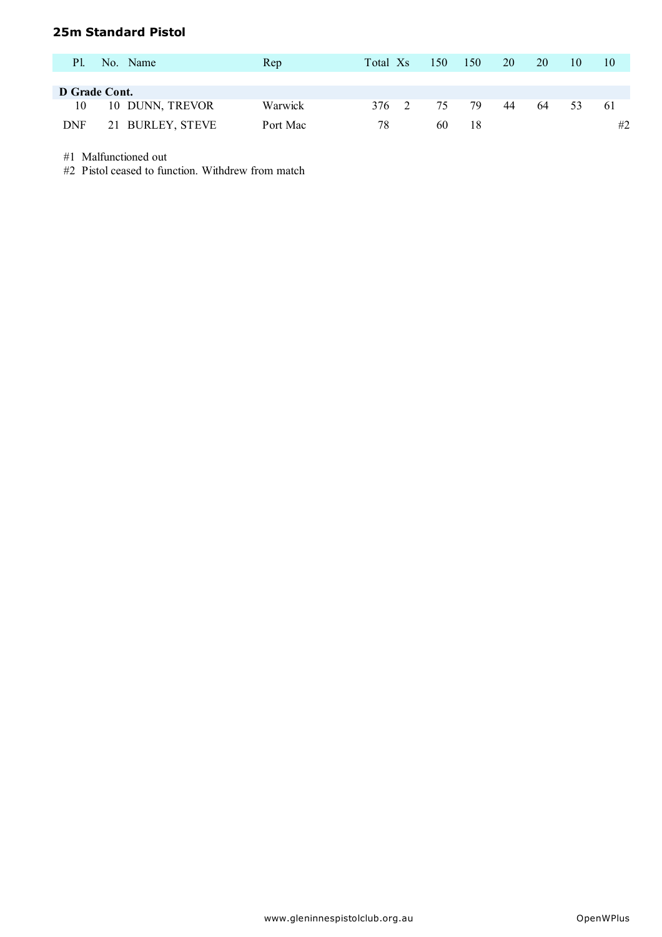## **25m Standard Pistol**

| <b>Pl.</b> | No. Name         | Rep      | Total Xs | 150 | 150 | 20 | 20 | 10 | 10  |
|------------|------------------|----------|----------|-----|-----|----|----|----|-----|
|            |                  |          |          |     |     |    |    |    |     |
|            | D Grade Cont.    |          |          |     |     |    |    |    |     |
| 10         | 10 DUNN, TREVOR  | Warwick  | 376 2    | 75  | 79  | 44 | 64 | 53 | -61 |
| <b>DNF</b> | 21 BURLEY, STEVE | Port Mac | 78       | 60  | 18  |    |    |    | #2  |

#1 Malfunctioned out

#2 Pistol ceased to function. Withdrew from match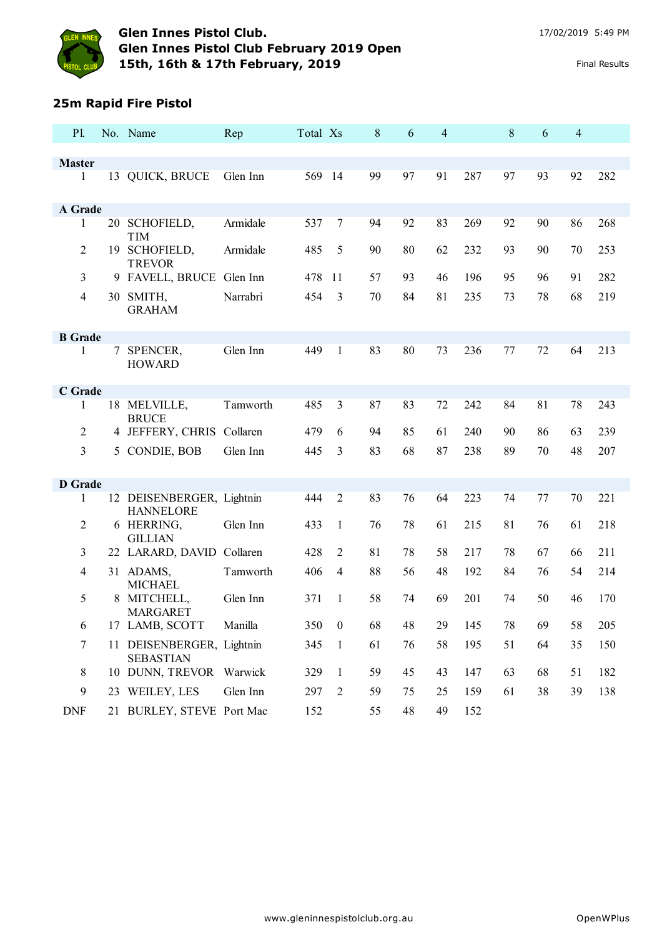

### **25m Rapid Fire Pistol**

| P1.            |   | No. Name                                      | Rep      | Total Xs |                | 8  | 6  | $\overline{4}$ |     | 8  | 6  | $\overline{4}$ |     |
|----------------|---|-----------------------------------------------|----------|----------|----------------|----|----|----------------|-----|----|----|----------------|-----|
|                |   |                                               |          |          |                |    |    |                |     |    |    |                |     |
| <b>Master</b>  |   |                                               |          |          |                |    |    |                |     |    |    |                |     |
| $\mathbf{1}$   |   | 13 QUICK, BRUCE                               | Glen Inn | 569 14   |                | 99 | 97 | 91             | 287 | 97 | 93 | 92             | 282 |
| A Grade        |   |                                               |          |          |                |    |    |                |     |    |    |                |     |
| 1              |   | 20 SCHOFIELD,<br><b>TIM</b>                   | Armidale | 537      | $\overline{7}$ | 94 | 92 | 83             | 269 | 92 | 90 | 86             | 268 |
| 2              |   | 19 SCHOFIELD,<br><b>TREVOR</b>                | Armidale | 485      | 5              | 90 | 80 | 62             | 232 | 93 | 90 | 70             | 253 |
| 3              |   | 9 FAVELL, BRUCE Glen Inn                      |          | 478      | 11             | 57 | 93 | 46             | 196 | 95 | 96 | 91             | 282 |
| $\overline{4}$ |   | 30 SMITH,<br><b>GRAHAM</b>                    | Narrabri | 454      | 3              | 70 | 84 | 81             | 235 | 73 | 78 | 68             | 219 |
| <b>B</b> Grade |   |                                               |          |          |                |    |    |                |     |    |    |                |     |
| 1              |   | 7 SPENCER,<br><b>HOWARD</b>                   | Glen Inn | 449      | $\mathbf{1}$   | 83 | 80 | 73             | 236 | 77 | 72 | 64             | 213 |
| C Grade        |   |                                               |          |          |                |    |    |                |     |    |    |                |     |
| 1              |   | 18 MELVILLE,<br><b>BRUCE</b>                  | Tamworth | 485      | $\overline{3}$ | 87 | 83 | 72             | 242 | 84 | 81 | 78             | 243 |
| $\overline{2}$ |   | 4 JEFFERY, CHRIS Collaren                     |          | 479      | 6              | 94 | 85 | 61             | 240 | 90 | 86 | 63             | 239 |
| 3              |   | 5 CONDIE, BOB                                 | Glen Inn | 445      | 3              | 83 | 68 | 87             | 238 | 89 | 70 | 48             | 207 |
| <b>D</b> Grade |   |                                               |          |          |                |    |    |                |     |    |    |                |     |
| 1              |   | 12 DEISENBERGER, Lightnin<br><b>HANNELORE</b> |          | 444      | $\overline{2}$ | 83 | 76 | 64             | 223 | 74 | 77 | 70             | 221 |
| 2              |   | 6 HERRING,<br><b>GILLIAN</b>                  | Glen Inn | 433      | $\mathbf{1}$   | 76 | 78 | 61             | 215 | 81 | 76 | 61             | 218 |
| 3              |   | 22 LARARD, DAVID Collaren                     |          | 428      | $\overline{2}$ | 81 | 78 | 58             | 217 | 78 | 67 | 66             | 211 |
| $\overline{4}$ |   | 31 ADAMS,<br><b>MICHAEL</b>                   | Tamworth | 406      | $\overline{4}$ | 88 | 56 | 48             | 192 | 84 | 76 | 54             | 214 |
| 5              | 8 | MITCHELL,<br><b>MARGARET</b>                  | Glen Inn | 371      | 1              | 58 | 74 | 69             | 201 | 74 | 50 | 46             | 170 |
| 6              |   | 17 LAMB, SCOTT                                | Manilla  | 350      | $\overline{0}$ | 68 | 48 | 29             | 145 | 78 | 69 | 58             | 205 |
| 7              |   | 11 DEISENBERGER, Lightnin<br><b>SEBASTIAN</b> |          | 345      | $\mathbf{1}$   | 61 | 76 | 58             | 195 | 51 | 64 | 35             | 150 |
| 8              |   | 10 DUNN, TREVOR Warwick                       |          | 329      | $\mathbf{1}$   | 59 | 45 | 43             | 147 | 63 | 68 | 51             | 182 |
| 9              |   | 23 WEILEY, LES                                | Glen Inn | 297      | $\overline{2}$ | 59 | 75 | 25             | 159 | 61 | 38 | 39             | 138 |
| <b>DNF</b>     |   | 21 BURLEY, STEVE Port Mac                     |          | 152      |                | 55 | 48 | 49             | 152 |    |    |                |     |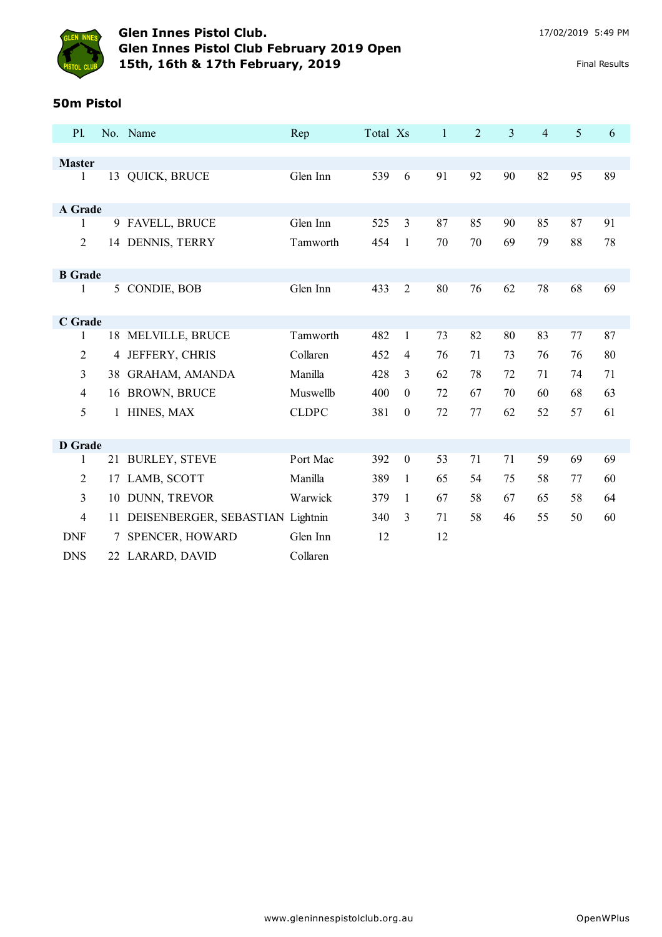

## **Glen Innes Pistol Club.** 17/02/2019 5:49 PM **Glen Innes Pistol Club February 2019 Open 15th, 16th & 17th February, 2019** Final Results

#### **50m Pistol**

| P1             |              | No. Name                         | Rep          | Total Xs |                  | $\mathbf{1}$ | $\overline{2}$ | 3  | $\overline{4}$ | 5  | 6  |
|----------------|--------------|----------------------------------|--------------|----------|------------------|--------------|----------------|----|----------------|----|----|
|                |              |                                  |              |          |                  |              |                |    |                |    |    |
| <b>Master</b>  |              |                                  |              |          |                  |              |                |    |                |    |    |
| 1              |              | 13 QUICK, BRUCE                  | Glen Inn     | 539      | 6                | 91           | 92             | 90 | 82             | 95 | 89 |
| A Grade        |              |                                  |              |          |                  |              |                |    |                |    |    |
| 1              |              | 9 FAVELL, BRUCE                  | Glen Inn     | 525      | 3                | 87           | 85             | 90 | 85             | 87 | 91 |
| $\overline{2}$ |              | 14 DENNIS, TERRY                 | Tamworth     | 454      | $\mathbf{1}$     | 70           | 70             | 69 | 79             | 88 | 78 |
| <b>B</b> Grade |              |                                  |              |          |                  |              |                |    |                |    |    |
| 1              |              | 5 CONDIE, BOB                    | Glen Inn     | 433      | $\overline{2}$   | 80           | 76             | 62 | 78             | 68 | 69 |
| C Grade        |              |                                  |              |          |                  |              |                |    |                |    |    |
| 1              |              | 18 MELVILLE, BRUCE               | Tamworth     | 482      | $\mathbf{1}$     | 73           | 82             | 80 | 83             | 77 | 87 |
| $\overline{2}$ |              | 4 JEFFERY, CHRIS                 | Collaren     | 452      | $\overline{4}$   | 76           | 71             | 73 | 76             | 76 | 80 |
| 3              |              | 38 GRAHAM, AMANDA                | Manilla      | 428      | 3                | 62           | 78             | 72 | 71             | 74 | 71 |
| $\overline{4}$ |              | 16 BROWN, BRUCE                  | Muswellb     | 400      | $\theta$         | 72           | 67             | 70 | 60             | 68 | 63 |
| 5              | $\mathbf{1}$ | HINES, MAX                       | <b>CLDPC</b> | 381      | $\boldsymbol{0}$ | 72           | 77             | 62 | 52             | 57 | 61 |
|                |              |                                  |              |          |                  |              |                |    |                |    |    |
| <b>D</b> Grade |              |                                  |              |          |                  |              |                |    |                |    |    |
| 1              |              | 21 BURLEY, STEVE                 | Port Mac     | 392      | $\boldsymbol{0}$ | 53           | 71             | 71 | 59             | 69 | 69 |
| $\overline{2}$ | 17           | LAMB, SCOTT                      | Manilla      | 389      | 1                | 65           | 54             | 75 | 58             | 77 | 60 |
| $\overline{3}$ | 10           | DUNN, TREVOR                     | Warwick      | 379      | 1                | 67           | 58             | 67 | 65             | 58 | 64 |
| $\overline{4}$ | 11           | DEISENBERGER, SEBASTIAN Lightnin |              | 340      | $\mathfrak{Z}$   | 71           | 58             | 46 | 55             | 50 | 60 |
| <b>DNF</b>     | 7            | SPENCER, HOWARD                  | Glen Inn     | 12       |                  | 12           |                |    |                |    |    |
| <b>DNS</b>     |              | 22 LARARD, DAVID                 | Collaren     |          |                  |              |                |    |                |    |    |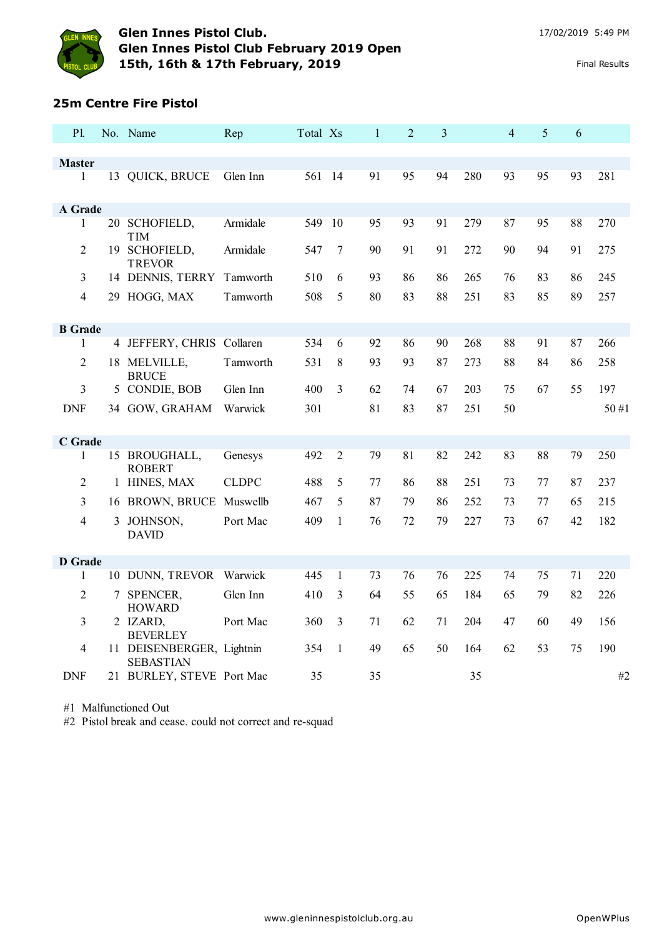

#### **25m Centre Fire Pistol**

| P1.            |    | No. Name                                      | Rep          | Total Xs |                | $\mathbf{1}$ | $\overline{2}$ | $\overline{3}$ |     | $\overline{4}$ | 5  | 6  |      |
|----------------|----|-----------------------------------------------|--------------|----------|----------------|--------------|----------------|----------------|-----|----------------|----|----|------|
|                |    |                                               |              |          |                |              |                |                |     |                |    |    |      |
| <b>Master</b>  |    |                                               |              |          |                |              |                |                |     |                |    |    |      |
| 1              |    | 13 QUICK, BRUCE                               | Glen Inn     | 561 14   |                | 91           | 95             | 94             | 280 | 93             | 95 | 93 | 281  |
| A Grade        |    |                                               |              |          |                |              |                |                |     |                |    |    |      |
| 1              |    | 20 SCHOFIELD,<br><b>TIM</b>                   | Armidale     | 549 10   |                | 95           | 93             | 91             | 279 | 87             | 95 | 88 | 270  |
| $\overline{2}$ | 19 | <b>SCHOFIELD,</b><br><b>TREVOR</b>            | Armidale     | 547      | 7              | 90           | 91             | 91             | 272 | 90             | 94 | 91 | 275  |
| 3              |    | 14 DENNIS, TERRY                              | Tamworth     | 510      | 6              | 93           | 86             | 86             | 265 | 76             | 83 | 86 | 245  |
| $\overline{4}$ |    | 29 HOGG, MAX                                  | Tamworth     | 508      | 5              | 80           | 83             | 88             | 251 | 83             | 85 | 89 | 257  |
| <b>B</b> Grade |    |                                               |              |          |                |              |                |                |     |                |    |    |      |
| 1              |    | 4 JEFFERY, CHRIS Collaren                     |              | 534      | 6              | 92           | 86             | 90             | 268 | 88             | 91 | 87 | 266  |
| 2              |    | 18 MELVILLE,<br><b>BRUCE</b>                  | Tamworth     | 531      | 8              | 93           | 93             | 87             | 273 | 88             | 84 | 86 | 258  |
| 3              |    | 5 CONDIE, BOB                                 | Glen Inn     | 400      | 3              | 62           | 74             | 67             | 203 | 75             | 67 | 55 | 197  |
| <b>DNF</b>     |    | 34 GOW, GRAHAM                                | Warwick      | 301      |                | 81           | 83             | 87             | 251 | 50             |    |    | 50#1 |
| C Grade        |    |                                               |              |          |                |              |                |                |     |                |    |    |      |
| 1              |    | 15 BROUGHALL,<br><b>ROBERT</b>                | Genesys      | 492      | $\overline{2}$ | 79           | 81             | 82             | 242 | 83             | 88 | 79 | 250  |
| $\overline{2}$ |    | 1 HINES, MAX                                  | <b>CLDPC</b> | 488      | 5              | 77           | 86             | 88             | 251 | 73             | 77 | 87 | 237  |
| 3              |    | 16 BROWN, BRUCE Muswellb                      |              | 467      | 5              | 87           | 79             | 86             | 252 | 73             | 77 | 65 | 215  |
| $\overline{4}$ |    | 3 JOHNSON,<br><b>DAVID</b>                    | Port Mac     | 409      | $\mathbf{1}$   | 76           | 72             | 79             | 227 | 73             | 67 | 42 | 182  |
| <b>D</b> Grade |    |                                               |              |          |                |              |                |                |     |                |    |    |      |
| 1              |    | 10 DUNN, TREVOR Warwick                       |              | 445      | 1              | 73           | 76             | 76             | 225 | 74             | 75 | 71 | 220  |
| $\overline{2}$ |    | 7 SPENCER,<br><b>HOWARD</b>                   | Glen Inn     | 410      | 3              | 64           | 55             | 65             | 184 | 65             | 79 | 82 | 226  |
| 3              |    | 2 IZARD,<br><b>BEVERLEY</b>                   | Port Mac     | 360      | 3              | 71           | 62             | 71             | 204 | 47             | 60 | 49 | 156  |
| 4              |    | 11 DEISENBERGER, Lightnin<br><b>SEBASTIAN</b> |              | 354      | $\mathbf{1}$   | 49           | 65             | 50             | 164 | 62             | 53 | 75 | 190  |
| <b>DNF</b>     |    | 21 BURLEY, STEVE Port Mac                     |              | 35       |                | 35           |                |                | 35  |                |    |    | #2   |

#1 Malfunctioned Out

#2 Pistol break and cease. could not correct and re-squad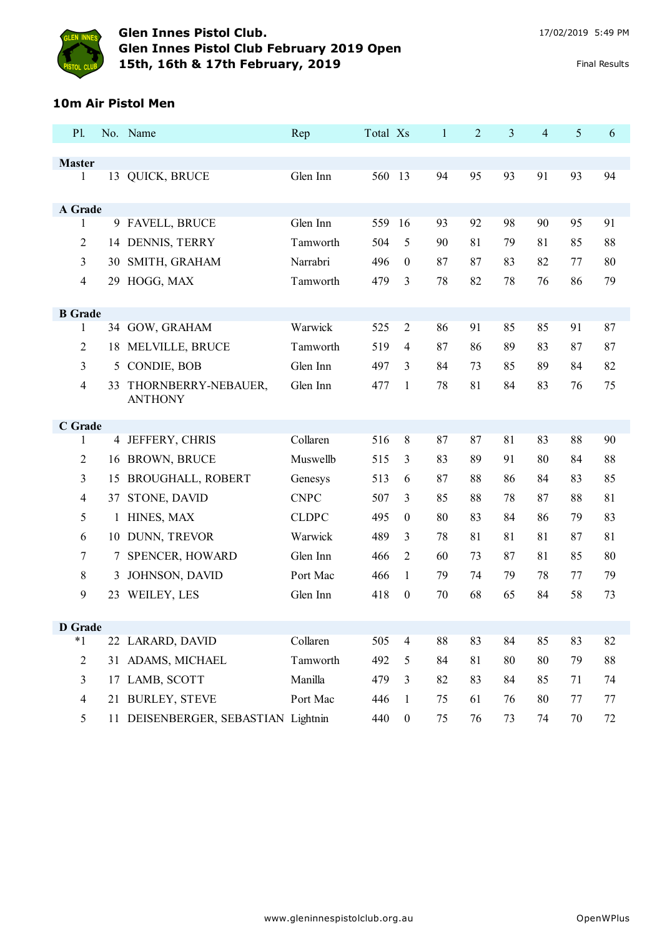

#### **10m Air Pistol Men**

| P1.                |    | No. Name                              | Rep          | Total Xs |                  | $\mathbf{1}$ | $\overline{2}$ | 3  | 4  | 5      | 6  |
|--------------------|----|---------------------------------------|--------------|----------|------------------|--------------|----------------|----|----|--------|----|
|                    |    |                                       |              |          |                  |              |                |    |    |        |    |
| <b>Master</b><br>1 |    | 13 QUICK, BRUCE                       | Glen Inn     | 560 13   |                  | 94           | 95             | 93 | 91 | 93     | 94 |
|                    |    |                                       |              |          |                  |              |                |    |    |        |    |
| A Grade            |    |                                       |              |          |                  |              |                |    |    |        |    |
| 1                  |    | 9 FAVELL, BRUCE                       | Glen Inn     | 559      | 16               | 93           | 92             | 98 | 90 | 95     | 91 |
| 2                  |    | 14 DENNIS, TERRY                      | Tamworth     | 504      | 5                | 90           | 81             | 79 | 81 | 85     | 88 |
| 3                  | 30 | SMITH, GRAHAM                         | Narrabri     | 496      | $\boldsymbol{0}$ | 87           | 87             | 83 | 82 | 77     | 80 |
| 4                  | 29 | HOGG, MAX                             | Tamworth     | 479      | 3                | 78           | 82             | 78 | 76 | 86     | 79 |
|                    |    |                                       |              |          |                  |              |                |    |    |        |    |
| <b>B</b> Grade     |    |                                       |              |          |                  |              |                |    |    |        |    |
| 1                  |    | 34 GOW, GRAHAM                        | Warwick      | 525      | $\overline{2}$   | 86           | 91             | 85 | 85 | 91     | 87 |
| $\overline{2}$     |    | 18 MELVILLE, BRUCE                    | Tamworth     | 519      | $\overline{4}$   | 87           | 86             | 89 | 83 | 87     | 87 |
| 3                  | 5  | CONDIE, BOB                           | Glen Inn     | 497      | 3                | 84           | 73             | 85 | 89 | 84     | 82 |
| 4                  | 33 | THORNBERRY-NEBAUER,<br><b>ANTHONY</b> | Glen Inn     | 477      | 1                | 78           | 81             | 84 | 83 | 76     | 75 |
|                    |    |                                       |              |          |                  |              |                |    |    |        |    |
| C Grade            |    |                                       |              |          |                  |              |                |    |    |        |    |
| 1                  |    | 4 JEFFERY, CHRIS                      | Collaren     | 516      | 8                | 87           | 87             | 81 | 83 | 88     | 90 |
| 2                  |    | 16 BROWN, BRUCE                       | Muswellb     | 515      | $\mathfrak{Z}$   | 83           | 89             | 91 | 80 | 84     | 88 |
| 3                  | 15 | <b>BROUGHALL, ROBERT</b>              | Genesys      | 513      | 6                | 87           | 88             | 86 | 84 | 83     | 85 |
| $\overline{4}$     | 37 | STONE, DAVID                          | <b>CNPC</b>  | 507      | 3                | 85           | 88             | 78 | 87 | 88     | 81 |
| 5                  | 1  | HINES, MAX                            | <b>CLDPC</b> | 495      | $\boldsymbol{0}$ | 80           | 83             | 84 | 86 | 79     | 83 |
| 6                  |    | 10 DUNN, TREVOR                       | Warwick      | 489      | 3                | 78           | 81             | 81 | 81 | 87     | 81 |
| 7                  | 7  | SPENCER, HOWARD                       | Glen Inn     | 466      | $\overline{2}$   | 60           | 73             | 87 | 81 | 85     | 80 |
| 8                  | 3  | JOHNSON, DAVID                        | Port Mac     | 466      | $\mathbf{1}$     | 79           | 74             | 79 | 78 | 77     | 79 |
| 9                  | 23 | WEILEY, LES                           | Glen Inn     | 418      | $\boldsymbol{0}$ | 70           | 68             | 65 | 84 | 58     | 73 |
|                    |    |                                       |              |          |                  |              |                |    |    |        |    |
| <b>D</b> Grade     |    |                                       |              |          |                  |              |                |    |    |        |    |
| $*1$               |    | 22 LARARD, DAVID                      | Collaren     | 505      | $\overline{4}$   | 88           | 83             | 84 | 85 | 83     | 82 |
| 2                  |    | 31 ADAMS, MICHAEL                     | Tamworth     | 492      | 5                | 84           | 81             | 80 | 80 | 79     | 88 |
| 3                  |    | 17 LAMB, SCOTT                        | Manilla      | 479      | $\mathfrak{Z}$   | 82           | 83             | 84 | 85 | 71     | 74 |
| $\overline{4}$     |    | 21 BURLEY, STEVE                      | Port Mac     | 446      | $\mathbf{1}$     | 75           | 61             | 76 | 80 | 77     | 77 |
| 5                  |    | 11 DEISENBERGER, SEBASTIAN Lightnin   |              | 440      | $\boldsymbol{0}$ | 75           | 76             | 73 | 74 | $70\,$ | 72 |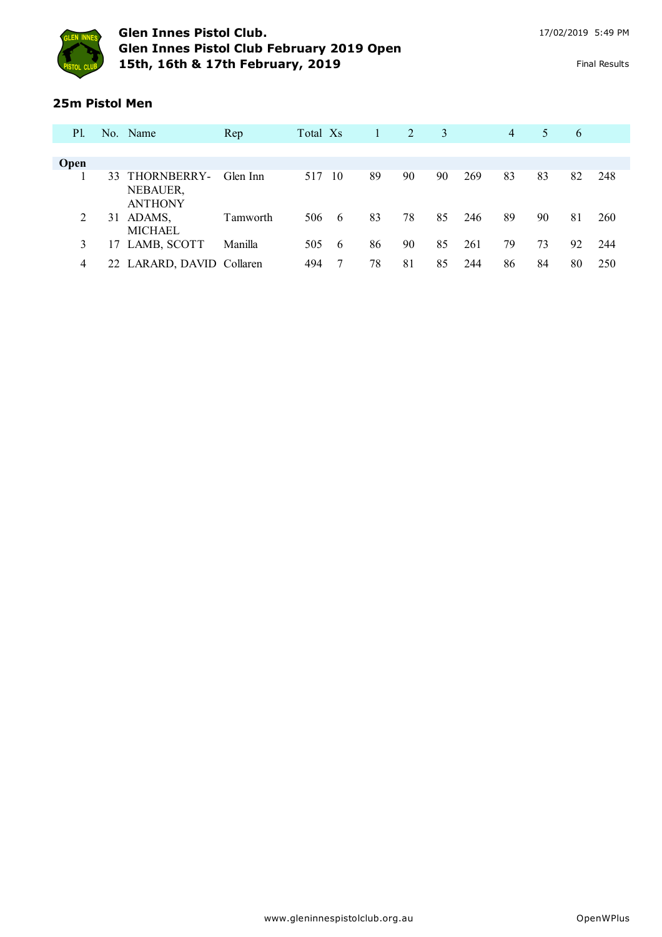

#### **25m Pistol Men**

| P1.         |    | No. Name                                     | Rep      | Total Xs |      | 1  | 2  | 3  |     | $\overline{4}$ | 5  | 6  |     |
|-------------|----|----------------------------------------------|----------|----------|------|----|----|----|-----|----------------|----|----|-----|
|             |    |                                              |          |          |      |    |    |    |     |                |    |    |     |
| <b>Open</b> |    |                                              |          |          |      |    |    |    |     |                |    |    |     |
|             |    | 33 THORNBERRY-<br>NEBAUER,<br><b>ANTHONY</b> | Glen Inn | 517      | - 10 | 89 | 90 | 90 | 269 | 83             | 83 | 82 | 248 |
| 2           | 31 | ADAMS,<br><b>MICHAEL</b>                     | Tamworth | 506      | - 6  | 83 | 78 | 85 | 246 | 89             | 90 | 81 | 260 |
| 3           |    | 17 LAMB, SCOTT                               | Manilla  | 505      | - 6  | 86 | 90 | 85 | 261 | 79             | 73 | 92 | 244 |
| 4           |    | 22 LARARD, DAVID Collaren                    |          | 494      |      | 78 | 81 | 85 | 244 | 86             | 84 | 80 | 250 |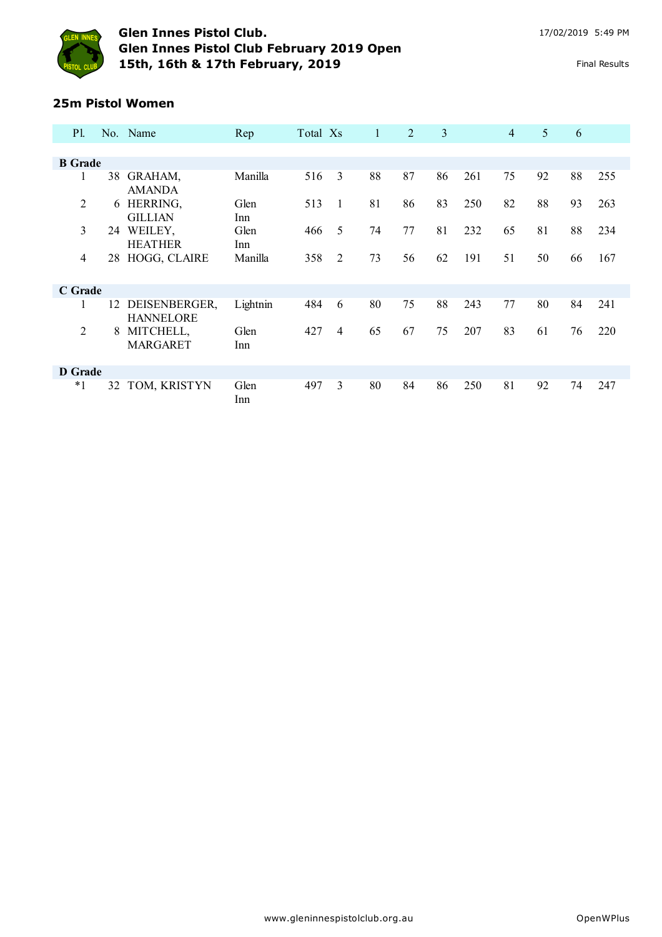

# **25m Pistol Women**

| <b>P1.</b>     |    | No. Name                          | Rep          | Total Xs |   | 1  | 2  | 3  |     | $\overline{4}$ | 5  | 6  |     |
|----------------|----|-----------------------------------|--------------|----------|---|----|----|----|-----|----------------|----|----|-----|
|                |    |                                   |              |          |   |    |    |    |     |                |    |    |     |
| <b>B</b> Grade |    |                                   |              |          |   |    |    |    |     |                |    |    |     |
| 1              | 38 | GRAHAM,<br><b>AMANDA</b>          | Manilla      | 516      | 3 | 88 | 87 | 86 | 261 | 75             | 92 | 88 | 255 |
| 2              | 6  | HERRING,<br><b>GILLIAN</b>        | Glen<br>Inn. | 513      | 1 | 81 | 86 | 83 | 250 | 82             | 88 | 93 | 263 |
| 3              | 24 | WEILEY,<br><b>HEATHER</b>         | Glen<br>Inn  | 466      | 5 | 74 | 77 | 81 | 232 | 65             | 81 | 88 | 234 |
| 4              | 28 | HOGG, CLAIRE                      | Manilla      | 358      | 2 | 73 | 56 | 62 | 191 | 51             | 50 | 66 | 167 |
| C Grade        |    |                                   |              |          |   |    |    |    |     |                |    |    |     |
| $\mathbf{I}$   | 12 | DEISENBERGER,<br><b>HANNELORE</b> | Lightnin     | 484      | 6 | 80 | 75 | 88 | 243 | 77             | 80 | 84 | 241 |
| 2              | 8  | MITCHELL,<br><b>MARGARET</b>      | Glen<br>Inn  | 427      | 4 | 65 | 67 | 75 | 207 | 83             | 61 | 76 | 220 |
| D Grade        |    |                                   |              |          |   |    |    |    |     |                |    |    |     |
| $^*1$          | 32 | TOM, KRISTYN                      | Glen<br>Inn  | 497      | 3 | 80 | 84 | 86 | 250 | 81             | 92 | 74 | 247 |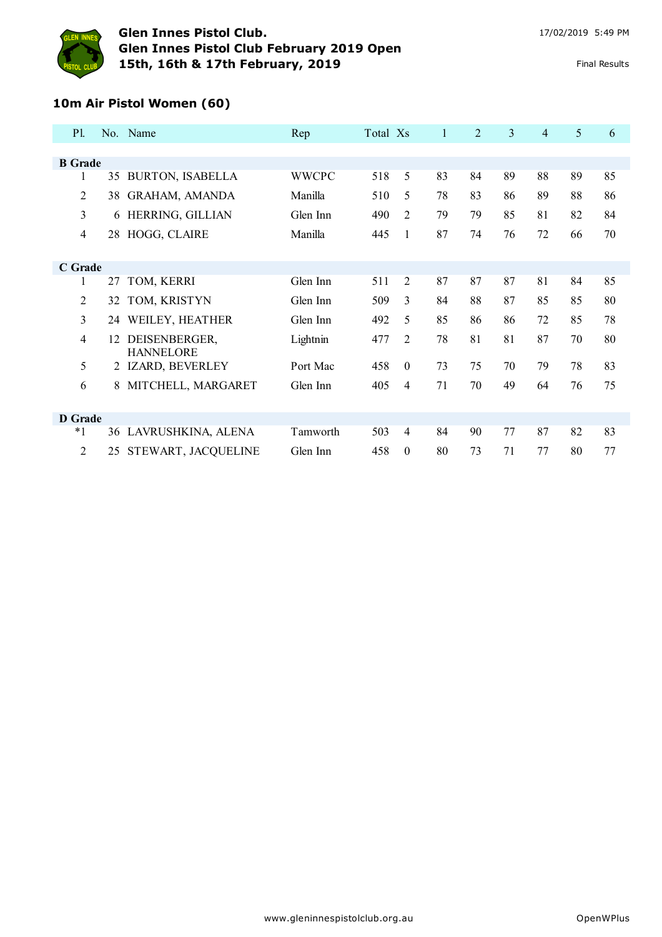

#### **10m Air Pistol Women (60)**

| <b>P1.</b>     |    | No. Name                          | Rep          | Total Xs |                | 1  | $\overline{2}$ | 3  | $\overline{4}$ | 5  | 6  |
|----------------|----|-----------------------------------|--------------|----------|----------------|----|----------------|----|----------------|----|----|
|                |    |                                   |              |          |                |    |                |    |                |    |    |
| <b>B</b> Grade |    |                                   |              |          |                |    |                |    |                |    |    |
| 1              | 35 | <b>BURTON, ISABELLA</b>           | <b>WWCPC</b> | 518      | 5              | 83 | 84             | 89 | 88             | 89 | 85 |
| $\overline{2}$ | 38 | GRAHAM, AMANDA                    | Manilla      | 510      | 5              | 78 | 83             | 86 | 89             | 88 | 86 |
| 3              | 6  | HERRING, GILLIAN                  | Glen Inn     | 490      | $\overline{2}$ | 79 | 79             | 85 | 81             | 82 | 84 |
| 4              | 28 | HOGG, CLAIRE                      | Manilla      | 445      | 1              | 87 | 74             | 76 | 72             | 66 | 70 |
|                |    |                                   |              |          |                |    |                |    |                |    |    |
| C Grade        |    |                                   |              |          |                |    |                |    |                |    |    |
| 1              | 27 | TOM, KERRI                        | Glen Inn     | 511      | $\overline{2}$ | 87 | 87             | 87 | 81             | 84 | 85 |
| 2              | 32 | TOM, KRISTYN                      | Glen Inn     | 509      | 3              | 84 | 88             | 87 | 85             | 85 | 80 |
| 3              | 24 | WEILEY, HEATHER                   | Glen Inn     | 492      | 5              | 85 | 86             | 86 | 72             | 85 | 78 |
| 4              | 12 | DEISENBERGER,<br><b>HANNELORE</b> | Lightnin     | 477      | 2              | 78 | 81             | 81 | 87             | 70 | 80 |
| 5              |    | 2 IZARD, BEVERLEY                 | Port Mac     | 458      | $\theta$       | 73 | 75             | 70 | 79             | 78 | 83 |
| 6              | 8  | MITCHELL, MARGARET                | Glen Inn     | 405      | 4              | 71 | 70             | 49 | 64             | 76 | 75 |
|                |    |                                   |              |          |                |    |                |    |                |    |    |
| D Grade        |    |                                   |              |          |                |    |                |    |                |    |    |
| $*1$           | 36 | LAVRUSHKINA, ALENA                | Tamworth     | 503      | 4              | 84 | 90             | 77 | 87             | 82 | 83 |
| $\overline{2}$ | 25 | STEWART, JACQUELINE               | Glen Inn     | 458      | $\theta$       | 80 | 73             | 71 | 77             | 80 | 77 |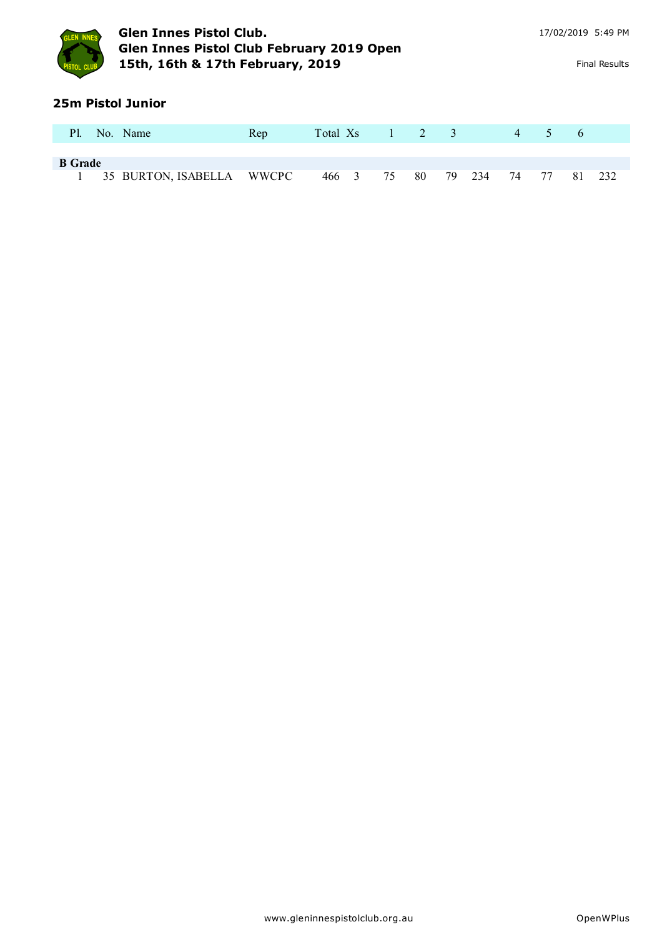

### **25m Pistol Junior**

| <b>Pl.</b>     | No. Name                    | Rep | Total Xs 1 2 3 |          |           |  | 4 5  |    | $\sqrt{6}$ |     |
|----------------|-----------------------------|-----|----------------|----------|-----------|--|------|----|------------|-----|
|                |                             |     |                |          |           |  |      |    |            |     |
| <b>B</b> Grade |                             |     |                |          |           |  |      |    |            |     |
|                | 1 35 BURTON, ISABELLA WWCPC |     |                | 466 3 75 | 80 79 234 |  | - 74 | 77 | 81         | 232 |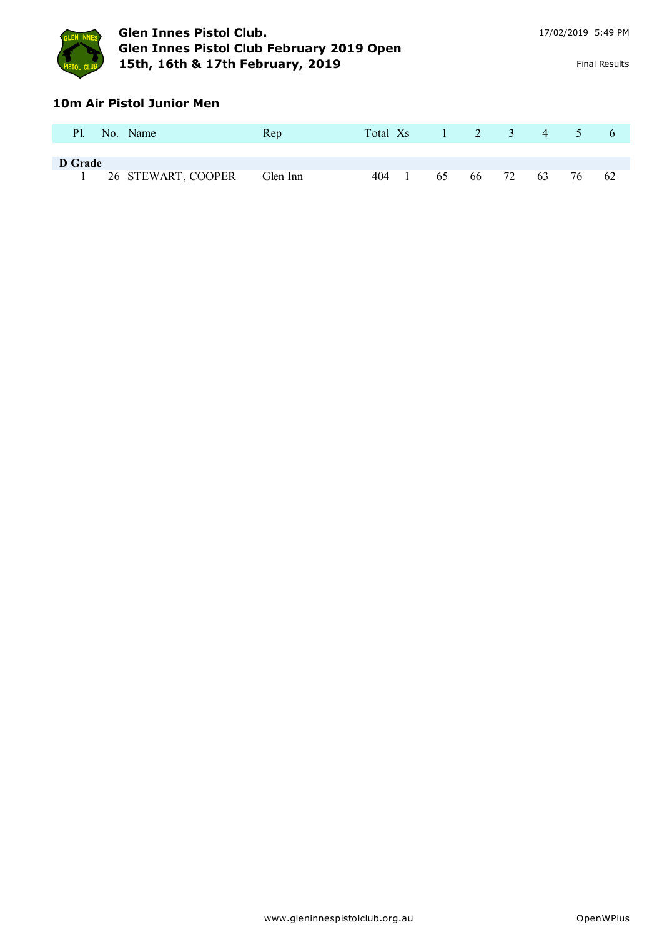

### **10m Air Pistol Junior Men**

| <b>Pl.</b> | No. Name           | Rep      | Total Xs |    |    | $1 \quad 2 \quad 3 \quad 4$ |      | $\sqrt{2}$ | $\sigma$ |
|------------|--------------------|----------|----------|----|----|-----------------------------|------|------------|----------|
| D Grade    |                    |          |          |    |    |                             |      |            |          |
|            | 26 STEWART, COOPER | Glen Inn | 404      | 65 | 66 | 72                          | - 63 | 76         | -62      |